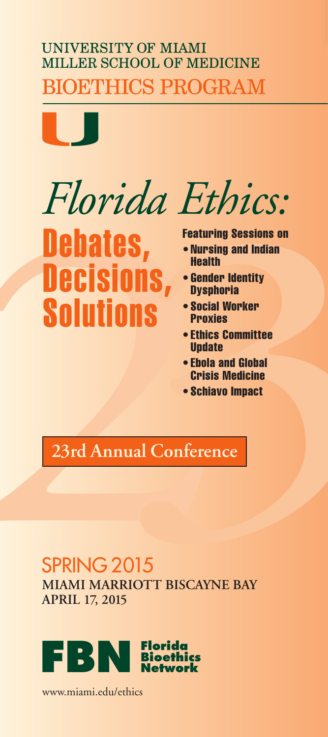#### **UNIVERSITY OF MIAMI** MILLER SCHOOL OF MEDICINE **SIOETHICS PROGRAM**

*Florida Ethics:*

# Florida Ethics:<br> **Debates,**<br> **CCISIONS, CONSTRUMERED AND ANDELLISIONS**<br> **CCISIONS**, Centre Indition<br> **CCISIONS**, Centre Indition<br>
SOLUTIONS<br>
CONSIDERING<br>
CPISS Medicine<br>
CPISS Medicine<br>
CPISS Medicine<br>
23rd Annual Conferen **Debates, Decisions, Solutions**

#### **Featuring Sessions on**

- **• Nursing and Indian Health**
- **• Gender Identity Dysphoria**
- **• Social Worker Proxies**
- **• Ethics Committee Update**
- **• Ebola and Global Crisis Medicine**
- **• Schiavo Impact**

#### **23rd Annual Conference**

#### SPRING 2015

**MIAMI MARRIOTT BISCAYNE BAY APRIL 17, 2015**



www.miami.edu/ethics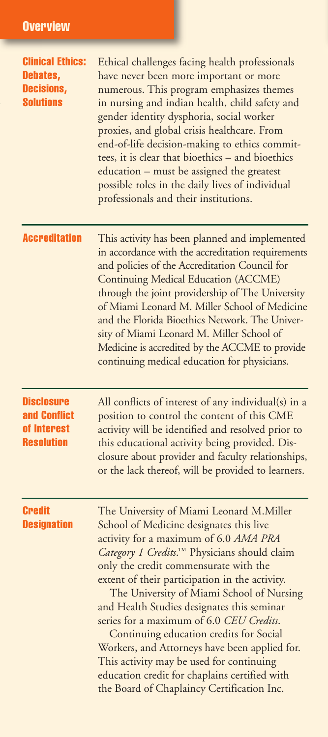| <b>Clinical Ethics:</b><br>Debates,<br><b>Decisions,</b><br><b>Solutions</b> | Ethical challenges facing health professionals<br>have never been more important or more<br>numerous. This program emphasizes themes<br>in nursing and indian health, child safety and<br>gender identity dysphoria, social worker<br>proxies, and global crisis healthcare. From<br>end-of-life decision-making to ethics commit-<br>tees, it is clear that bioethics - and bioethics<br>education - must be assigned the greatest<br>possible roles in the daily lives of individual<br>professionals and their institutions.                                                                                                                       |
|------------------------------------------------------------------------------|-------------------------------------------------------------------------------------------------------------------------------------------------------------------------------------------------------------------------------------------------------------------------------------------------------------------------------------------------------------------------------------------------------------------------------------------------------------------------------------------------------------------------------------------------------------------------------------------------------------------------------------------------------|
| <b>Accreditation</b>                                                         | This activity has been planned and implemented<br>in accordance with the accreditation requirements<br>and policies of the Accreditation Council for<br>Continuing Medical Education (ACCME)<br>through the joint providership of The University<br>of Miami Leonard M. Miller School of Medicine<br>and the Florida Bioethics Network. The Univer-<br>sity of Miami Leonard M. Miller School of<br>Medicine is accredited by the ACCME to provide<br>continuing medical education for physicians.                                                                                                                                                    |
| <b>Disclosure</b><br>and Conflict<br>of Interest<br><b>Resolution</b>        | All conflicts of interest of any individual(s) in a<br>position to control the content of this CME<br>activity will be identified and resolved prior to<br>this educational activity being provided. Dis-<br>closure about provider and faculty relationships,<br>or the lack thereof, will be provided to learners.                                                                                                                                                                                                                                                                                                                                  |
| <b>Credit</b><br><b>Designation</b>                                          | The University of Miami Leonard M.Miller<br>School of Medicine designates this live<br>activity for a maximum of 6.0 AMA PRA<br>Category 1 Credits.™ Physicians should claim<br>only the credit commensurate with the<br>extent of their participation in the activity.<br>The University of Miami School of Nursing<br>and Health Studies designates this seminar<br>series for a maximum of 6.0 CEU Credits.<br>Continuing education credits for Social<br>Workers, and Attorneys have been applied for.<br>This activity may be used for continuing<br>education credit for chaplains certified with<br>the Board of Chaplaincy Certification Inc. |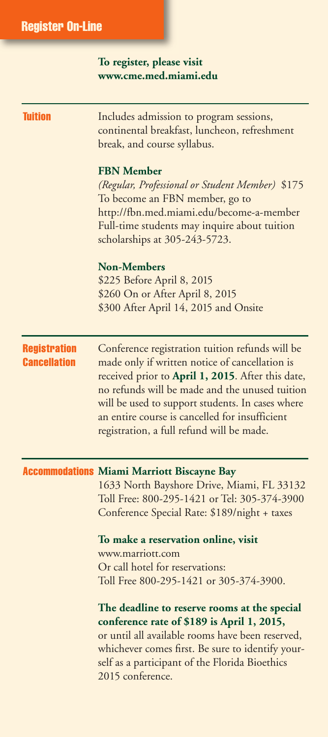#### **To register, please visit www.cme.med.miami.edu**

| Tuition                                    | Includes admission to program sessions,<br>continental breakfast, luncheon, refreshment<br>break, and course syllabus.                                                                                                                                                                                                                                      |
|--------------------------------------------|-------------------------------------------------------------------------------------------------------------------------------------------------------------------------------------------------------------------------------------------------------------------------------------------------------------------------------------------------------------|
|                                            | <b>FBN Member</b><br>(Regular, Professional or Student Member) \$175<br>To become an FBN member, go to<br>http://fbn.med.miami.edu/become-a-member<br>Full-time students may inquire about tuition<br>scholarships at 305-243-5723.                                                                                                                         |
|                                            | <b>Non-Members</b><br>\$225 Before April 8, 2015<br>\$260 On or After April 8, 2015<br>\$300 After April 14, 2015 and Onsite                                                                                                                                                                                                                                |
| <b>Registration</b><br><b>Cancellation</b> | Conference registration tuition refunds will be<br>made only if written notice of cancellation is<br>received prior to April 1, 2015. After this date,<br>no refunds will be made and the unused tuition<br>will be used to support students. In cases where<br>an entire course is cancelled for insufficient<br>registration, a full refund will be made. |
|                                            | <b>Accommodations</b> Miami Marriott Biscayne Bay<br>1633 North Bayshore Drive, Miami, FL 33132<br>Toll Free: 800-295-1421 or Tel: 305-374-3900<br>Conference Special Rate: \$189/night + taxes<br>To make a reservation online, visit<br>www.marriott.com                                                                                                  |
|                                            | Or call hotel for reservations:<br>Toll Free 800-295-1421 or 305-374-3900.                                                                                                                                                                                                                                                                                  |
|                                            | The deadline to reserve rooms at the special<br>conference rate of \$189 is April 1, 2015,<br>or until all available rooms have been reserved,<br>whichever comes first. Be sure to identify your-<br>self as a participant of the Florida Bioethics<br>2015 conference.                                                                                    |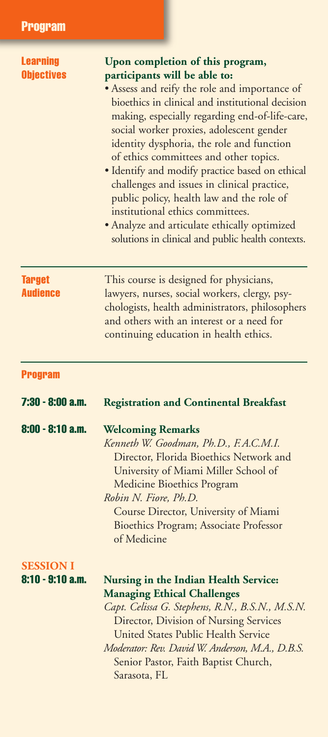| <b>Learning</b><br><b>Objectives</b> | Upon completion of this program,<br>participants will be able to:<br>• Assess and reify the role and importance of<br>bioethics in clinical and institutional decision<br>making, especially regarding end-of-life-care,<br>social worker proxies, adolescent gender<br>identity dysphoria, the role and function<br>of ethics committees and other topics.<br>· Identify and modify practice based on ethical<br>challenges and issues in clinical practice,<br>public policy, health law and the role of<br>institutional ethics committees.<br>• Analyze and articulate ethically optimized<br>solutions in clinical and public health contexts. |
|--------------------------------------|-----------------------------------------------------------------------------------------------------------------------------------------------------------------------------------------------------------------------------------------------------------------------------------------------------------------------------------------------------------------------------------------------------------------------------------------------------------------------------------------------------------------------------------------------------------------------------------------------------------------------------------------------------|
| <b>Target</b><br><b>Audience</b>     | This course is designed for physicians,<br>lawyers, nurses, social workers, clergy, psy-<br>chologists, health administrators, philosophers<br>and others with an interest or a need for<br>continuing education in health ethics.                                                                                                                                                                                                                                                                                                                                                                                                                  |
| <b>Program</b>                       |                                                                                                                                                                                                                                                                                                                                                                                                                                                                                                                                                                                                                                                     |
| 7:30 - 8:00 a.m.                     | <b>Registration and Continental Breakfast</b>                                                                                                                                                                                                                                                                                                                                                                                                                                                                                                                                                                                                       |
| $8:00 - 8:10$ a.m.                   | <b>Welcoming Remarks</b><br>Kenneth W. Goodman, Ph.D., F.A.C.M.I.<br>Director, Florida Bioethics Network and<br>University of Miami Miller School of<br><b>Medicine Bioethics Program</b><br>Robin N. Fiore, Ph.D.<br>Course Director, University of Miami<br><b>Bioethics Program; Associate Professor</b><br>of Medicine                                                                                                                                                                                                                                                                                                                          |
| <b>SESSION I</b><br>8:10 - 9:10 a.m. | Nursing in the Indian Health Service:<br><b>Managing Ethical Challenges</b><br>Capt. Celissa G. Stephens, R.N., B.S.N., M.S.N.<br>Director, Division of Nursing Services<br>United States Public Health Service<br>Moderator: Rev. David W. Anderson, M.A., D.B.S.<br>Senior Pastor, Faith Baptist Church,<br>Sarasota, FL                                                                                                                                                                                                                                                                                                                          |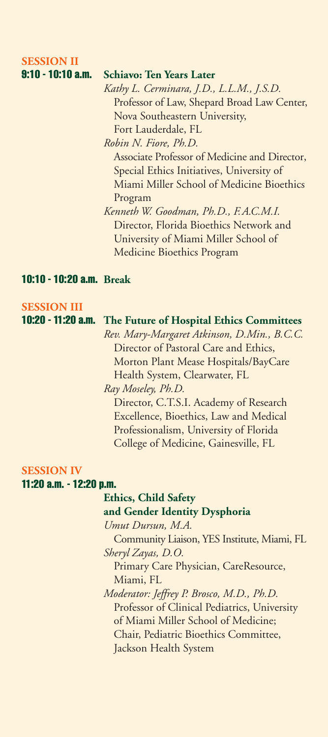#### **SESSION II**

#### **9:10 - 10:10 a.m. Schiavo: Ten Years Later**

*Kathy L. Cerminara, J.D., L.L.M., J.S.D.* Professor of Law, Shepard Broad Law Center, Nova Southeastern University, Fort Lauderdale, FL *Robin N. Fiore, Ph.D.*

Associate Professor of Medicine and Director, Special Ethics Initiatives, University of Miami Miller School of Medicine Bioethics Program

 *Kenneth W. Goodman, Ph.D., F.A.C.M.I.* Director, Florida Bioethics Network and University of Miami Miller School of Medicine Bioethics Program

#### **10:10 - 10:20 a.m. Break**

#### **SESSION III**

#### **10:20 - 11:20 a.m. The Future of Hospital Ethics Committees**

 *Rev. Mary-Margaret Atkinson, D.Min., B.C.C.* Director of Pastoral Care and Ethics, Morton Plant Mease Hospitals/BayCare Health System, Clearwater, FL *Ray Moseley, Ph.D.*

 Director, C.T.S.I. Academy of Research Excellence, Bioethics, Law and Medical Professionalism, University of Florida College of Medicine, Gainesville, FL

#### **SESSION IV**

#### **11:20 a.m. - 12:20 p.m.**

#### **Ethics, Child Safety and Gender Identity Dysphoria**

*Umut Dursun, M.A.*

 Community Liaison, YES Institute, Miami, FL *Sheryl Zayas, D.O.*

 Primary Care Physician, CareResource, Miami, FL

 *Moderator: Jeffrey P. Brosco, M.D., Ph.D.* Professor of Clinical Pediatrics, University of Miami Miller School of Medicine; Chair, Pediatric Bioethics Committee, Jackson Health System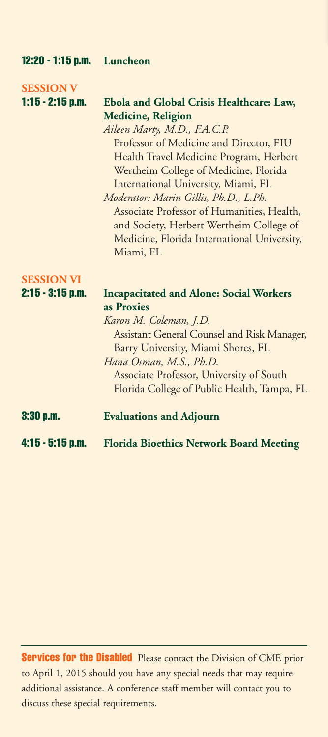| $12:20 - 1:15$ p.m. | Luncheon                                       |
|---------------------|------------------------------------------------|
| <b>SESSION V</b>    |                                                |
| $1:15 - 2:15$ p.m.  | Ebola and Global Crisis Healthcare: Law,       |
|                     | <b>Medicine, Religion</b>                      |
|                     | Aileen Marty, M.D., F.A.C.P.                   |
|                     | Professor of Medicine and Director, FIU        |
|                     | Health Travel Medicine Program, Herbert        |
|                     | Wertheim College of Medicine, Florida          |
|                     | International University, Miami, FL            |
|                     | Moderator: Marin Gillis, Ph.D., L.Ph.          |
|                     | Associate Professor of Humanities, Health,     |
|                     | and Society, Herbert Wertheim College of       |
|                     | Medicine, Florida International University,    |
|                     | Miami, FL                                      |
| <b>SESSION VI</b>   |                                                |
| $2:15 - 3:15$ p.m.  | <b>Incapacitated and Alone: Social Workers</b> |
|                     | as Proxies                                     |
|                     | Karon M. Coleman, J.D.                         |
|                     | Assistant General Counsel and Risk Manager,    |
|                     | Barry University, Miami Shores, FL             |
|                     | Hana Osman, M.S., Ph.D.                        |
|                     | Associate Professor, University of South       |
|                     | Florida College of Public Health, Tampa, FL    |
| $3:30$ p.m.         | <b>Evaluations and Adjourn</b>                 |
| $4:15 - 5:15$ p.m.  | <b>Florida Bioethics Network Board Meeting</b> |

**Services for the Disabled** Please contact the Division of CME prior to April 1, 2015 should you have any special needs that may require additional assistance. A conference staff member will contact you to discuss these special requirements.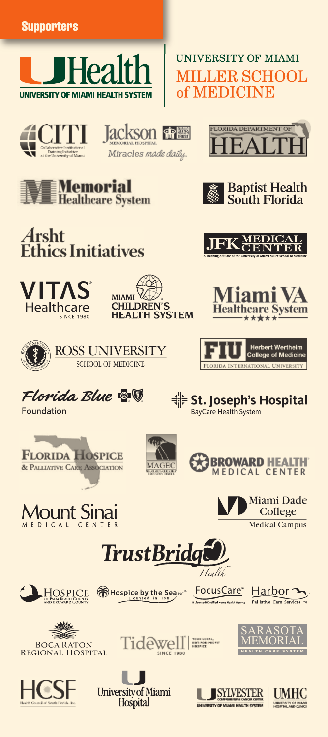

#### **UNIVERSITY OF MIAMI MILLER SCHOOL** of MEDICINE



**Jackson 金屬** Miracles made daily.



















St. Joseph's Hospital

BayCare Health System





Foundation

















FocusCare\*











**University of Miami** Hospital